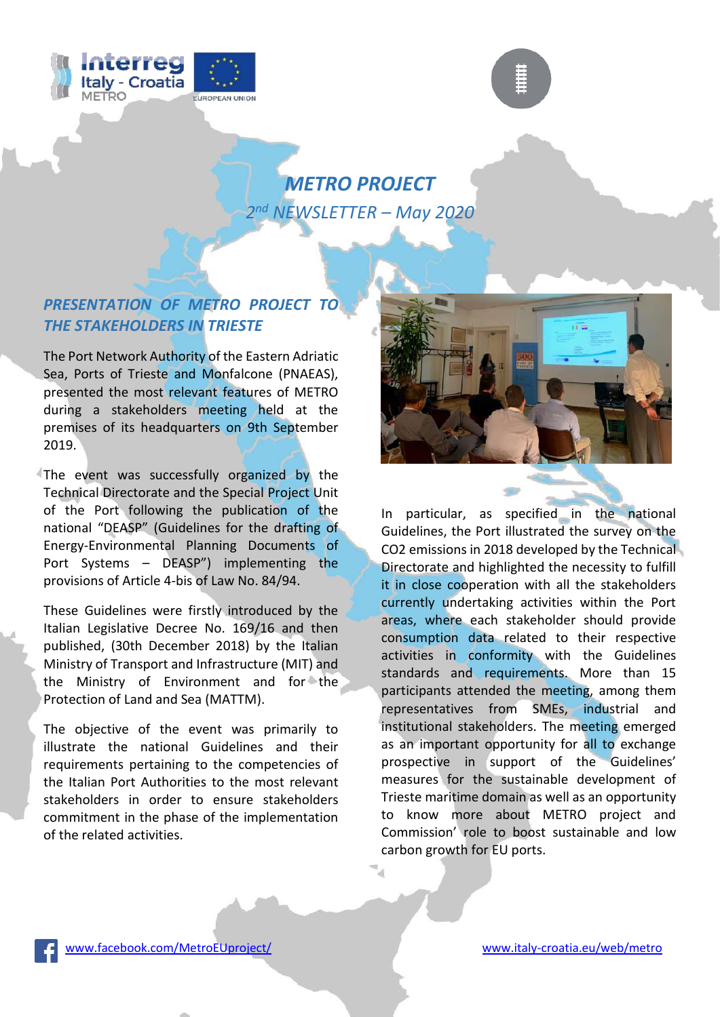



## *METRO PROJECT 2 nd NEWSLETTER – May 2020*

## *PRESENTATION OF METRO PROJECT TO THE STAKEHOLDERS IN TRIESTE*

The Port Network Authority of the Eastern Adriatic Sea, Ports of Trieste and Monfalcone (PNAEAS), presented the most relevant features of METRO during a stakeholders meeting held at the premises of its headquarters on 9th September 2019.

The event was successfully organized by the Technical Directorate and the Special Project Unit of the Port following the publication of the national "DEASP" (Guidelines for the drafting of Energy-Environmental Planning Documents of Port Systems – DEASP") implementing the provisions of Article 4-bis of Law No. 84/94.

These Guidelines were firstly introduced by the Italian Legislative Decree No. 169/16 and then published, (30th December 2018) by the Italian Ministry of Transport and Infrastructure (MIT) and the Ministry of Environment and for the Protection of Land and Sea (MATTM).

The objective of the event was primarily to illustrate the national Guidelines and their requirements pertaining to the competencies of the Italian Port Authorities to the most relevant stakeholders in order to ensure stakeholders commitment in the phase of the implementation of the related activities.



In particular, as specified in the national Guidelines, the Port illustrated the survey on the CO2 emissions in 2018 developed by the Technical Directorate and highlighted the necessity to fulfill it in close cooperation with all the stakeholders currently undertaking activities within the Port areas, where each stakeholder should provide consumption data related to their respective activities in conformity with the Guidelines standards and requirements. More than 15 participants attended the meeting, among them representatives from SMEs, industrial and institutional stakeholders. The meeting emerged as an important opportunity for all to exchange prospective in support of the Guidelines' measures for the sustainable development of Trieste maritime domain as well as an opportunity to know more about METRO project and Commission' role to boost sustainable and low carbon growth for EU ports.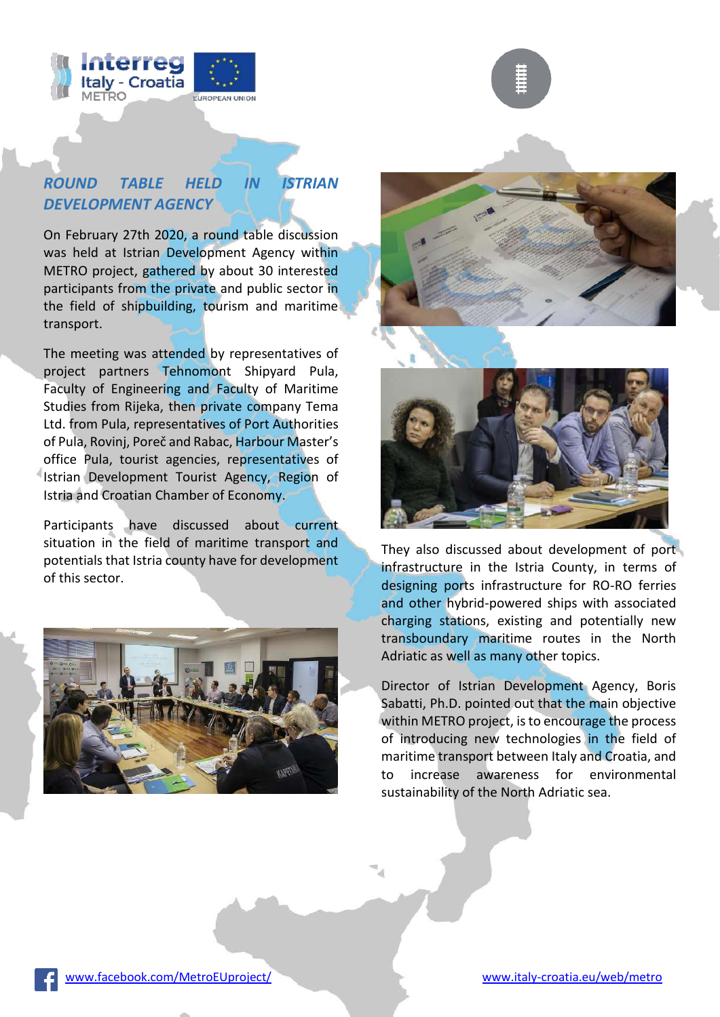



On February 27th 2020, a round table discussion was held at Istrian Development Agency within METRO project, gathered by about 30 interested participants from the private and public sector in the field of shipbuilding, tourism and maritime transport.

The meeting was attended by representatives of project partners Tehnomont Shipyard Pula, Faculty of Engineering and Faculty of Maritime Studies from Rijeka, then private company Tema Ltd. from Pula, representatives of Port Authorities of Pula, Rovinj, Poreč and Rabac, Harbour Master's office Pula, tourist agencies, representatives of Istrian Development Tourist Agency, Region of Istria and Croatian Chamber of Economy.

Participants have discussed about current situation in the field of maritime transport and potentials that Istria county have for development of this sector.







They also discussed about development of port infrastructure in the Istria County, in terms of designing ports infrastructure for RO-RO ferries and other hybrid-powered ships with associated charging stations, existing and potentially new transboundary maritime routes in the North Adriatic as well as many other topics.

Director of Istrian Development Agency, Boris Sabatti, Ph.D. pointed out that the main objective within METRO project, is to encourage the process of introducing new technologies in the field of maritime transport between Italy and Croatia, and to increase awareness for environmental sustainability of the North Adriatic sea.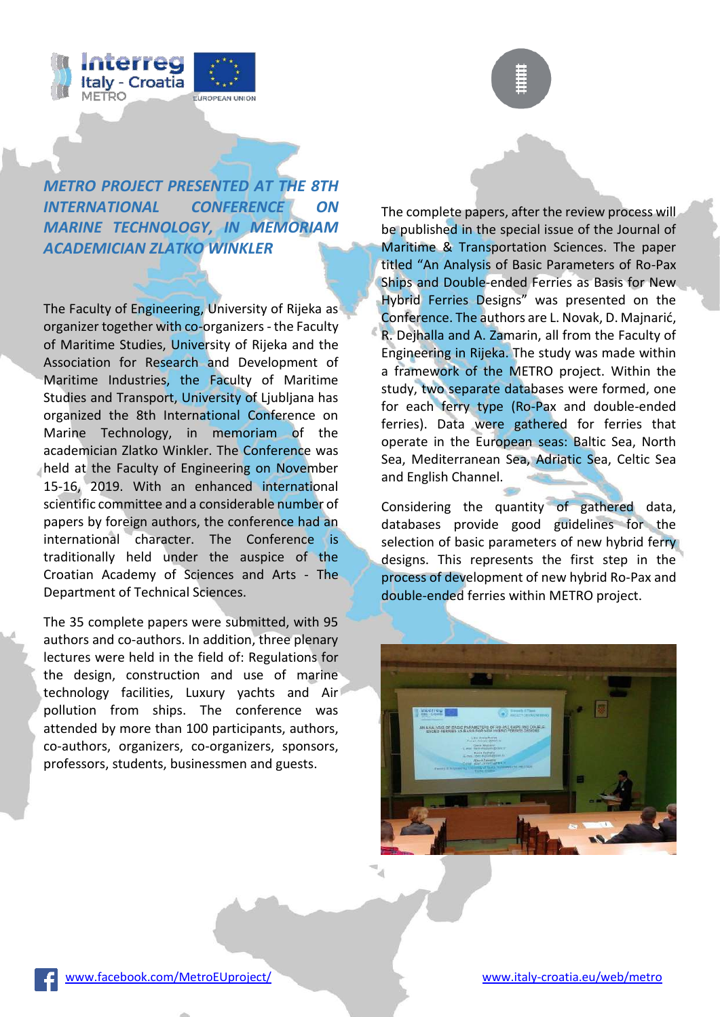



*METRO PROJECT PRESENTED AT THE 8TH INTERNATIONAL CONFERENCE ON MARINE TECHNOLOGY, IN MEMORIAM ACADEMICIAN ZLATKO WINKLER* 

The Faculty of Engineering, University of Rijeka as organizer together with co-organizers - the Faculty of Maritime Studies, University of Rijeka and the Association for Research and Development of Maritime Industries, the Faculty of Maritime Studies and Transport, University of Ljubljana has organized the 8th International Conference on Marine Technology, in memoriam of the academician Zlatko Winkler. The Conference was held at the Faculty of Engineering on November 15-16, 2019. With an enhanced international scientific committee and a considerable number of papers by foreign authors, the conference had an international character. The Conference is traditionally held under the auspice of the Croatian Academy of Sciences and Arts - The Department of Technical Sciences.

The 35 complete papers were submitted, with 95 authors and co-authors. In addition, three plenary lectures were held in the field of: Regulations for the design, construction and use of marine technology facilities, Luxury yachts and Air pollution from ships. The conference was attended by more than 100 participants, authors, co-authors, organizers, co-organizers, sponsors, professors, students, businessmen and guests.

The complete papers, after the review process will be published in the special issue of the Journal of Maritime & Transportation Sciences. The paper titled "An Analysis of Basic Parameters of Ro-Pax Ships and Double-ended Ferries as Basis for New Hybrid Ferries Designs" was presented on the Conference. The authors are L. Novak, D. Majnarić, R. Dejhalla and A. Zamarin, all from the Faculty of Engineering in Rijeka. The study was made within a framework of the METRO project. Within the study, two separate databases were formed, one for each ferry type (Ro-Pax and double-ended ferries). Data were gathered for ferries that operate in the European seas: Baltic Sea, North Sea, Mediterranean Sea, Adriatic Sea, Celtic Sea and English Channel.

Considering the quantity of gathered data, databases provide good guidelines for the selection of basic parameters of new hybrid ferry designs. This represents the first step in the process of development of new hybrid Ro-Pax and double-ended ferries within METRO project.

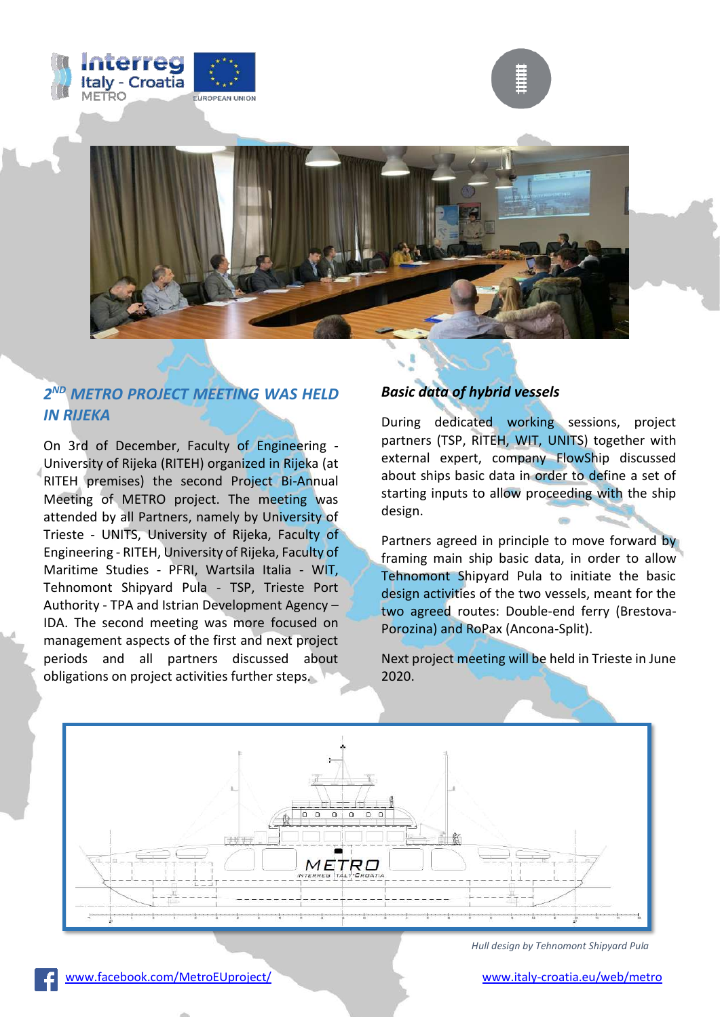





## *2 ND METRO PROJECT MEETING WAS HELD IN RIJEKA*

On 3rd of December, Faculty of Engineering - University of Rijeka (RITEH) organized in Rijeka (at RITEH premises) the second Project Bi-Annual Meeting of METRO project. The meeting was attended by all Partners, namely by University of Trieste - UNITS, University of Rijeka, Faculty of Engineering - RITEH, University of Rijeka, Faculty of Maritime Studies - PFRI, Wartsila Italia - WIT, Tehnomont Shipyard Pula - TSP, Trieste Port Authority - TPA and Istrian Development Agency – IDA. The second meeting was more focused on management aspects of the first and next project periods and all partners discussed about obligations on project activities further steps.

### *Basic data of hybrid vessels*

During dedicated working sessions, project partners (TSP, RITEH, WIT, UNITS) together with external expert, company FlowShip discussed about ships basic data in order to define a set of starting inputs to allow proceeding with the ship design.

Partners agreed in principle to move forward by framing main ship basic data, in order to allow Tehnomont Shipyard Pula to initiate the basic design activities of the two vessels, meant for the two agreed routes: Double-end ferry (Brestova-Porozina) and RoPax (Ancona-Split).

Next project meeting will be held in Trieste in June 2020.



*Hull design by Tehnomont Shipyard Pula*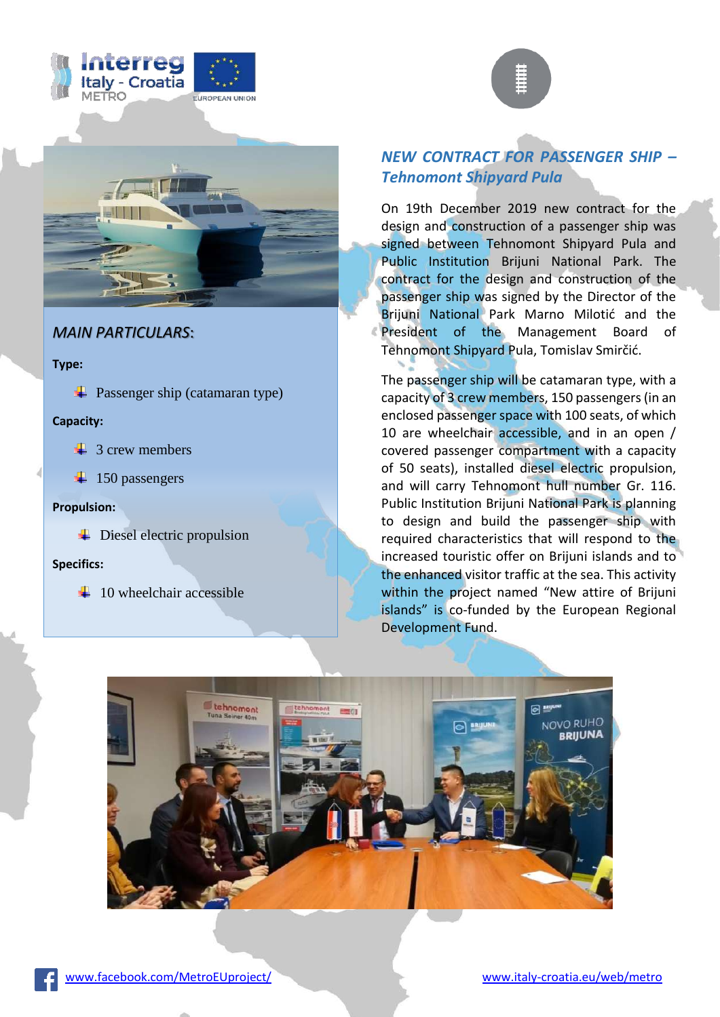





## **MAIN PARTICULARS:**

**Type:**

 $\overline{\phantom{a}}$  Passenger ship (catamaran type)

#### **Capacity:**

- $\frac{1}{2}$  3 crew members
- $\ddot{+}$  150 passengers

#### **Propulsion:**

 $\overline{\phantom{a}}$  Diesel electric propulsion

#### **Specifics:**

 $\pm$  10 wheelchair accessible

## *NEW CONTRACT FOR PASSENGER SHIP – Tehnomont Shipyard Pula*

On 19th December 2019 new contract for the design and construction of a passenger ship was signed between Tehnomont Shipyard Pula and Public Institution Brijuni National Park. The contract for the design and construction of the passenger ship was signed by the Director of the Brijuni National Park Marno Milotić and the President of the Management Board of Tehnomont Shipyard Pula, Tomislav Smirčić.

The passenger ship will be catamaran type, with a capacity of 3 crew members, 150 passengers (in an enclosed passenger space with 100 seats, of which 10 are wheelchair accessible, and in an open / covered passenger compartment with a capacity of 50 seats), installed diesel electric propulsion, and will carry Tehnomont hull number Gr. 116. Public Institution Brijuni National Park is planning to design and build the passenger ship with required characteristics that will respond to the increased touristic offer on Brijuni islands and to the enhanced visitor traffic at the sea. This activity within the project named "New attire of Brijuni islands" is co-funded by the European Regional Development Fund.

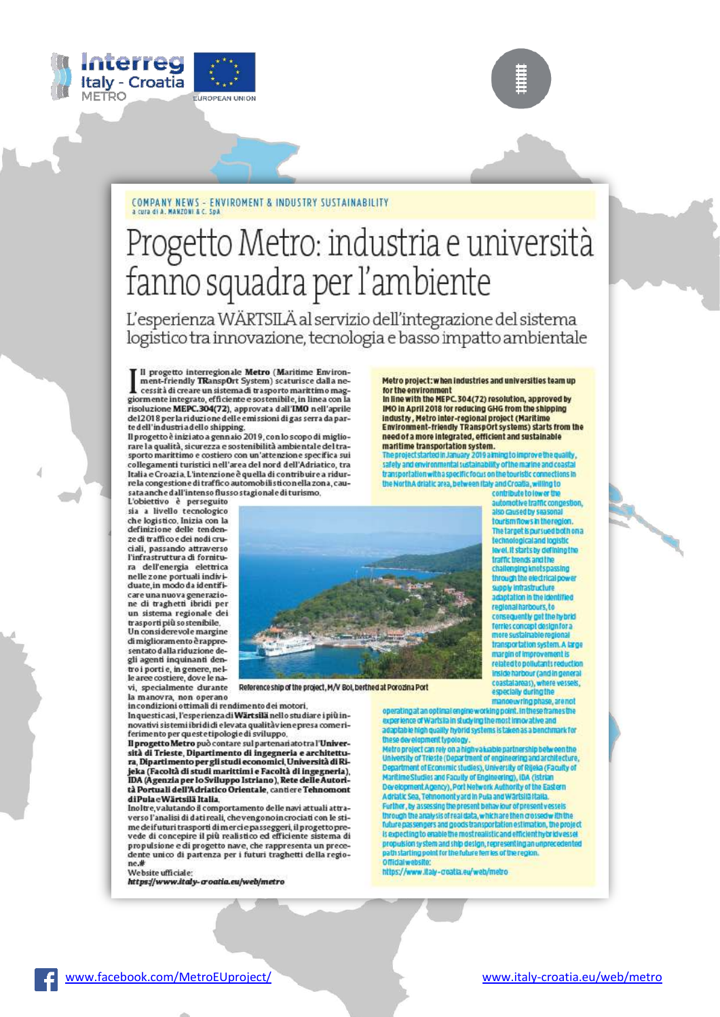



# Progetto Metro: industria e università fanno squadra per l'ambiente

L'esperienza WÄRTSILÄ al servizio dell'integrazione del sistema logistico tra innovazione, tecnologia e basso impatto ambientale

Il progetto interregionale Metro (Maritime Environ-<br>ment-friendly TRanspOrt System) scaturisce dalla nement-Friendly TRanspurt System) scaturisce dalla ne-<br>giormente integrato, efficiente e sostenibile, in linea con la<br>risoluzione MEPC.304(72), approvata dall'IMO nell'aprile<br>del2018 per la riduzione delle emissioni di gas s te dell'industriadello shipping.

Il progetto è inizi ato a gennaio 2019, con lo scopo di migliorare la qualità, si curezza e sostenibilità ambientale del tra-<br>sporto marittimo e costiero con un'attenzione specifica sui collegamenti turistici nell'area del nord dell'Adriatico, tra Italia e Croazia, L'intenzione è quella di contribuire a ridurre la congestione di traffico automobili sticonella zona, causata anche dall'intenso flusso stagionale di turismo,

L'obiettivo è perseguito sia a livello tecnologico che logistico. Inizia con la definizione delle tendenze di traffico e dei nodi cruciali, passando attraverso l'infrastruttura di fornitura dell'energia elettrica nelle zone portuali individuate in modo da identificare una nuova generazio-<br>ne di traghetti ibridi per un sistema regionale dei

trasporti più sostenibile. Un considerevole margine di miglioram ento è rappresentato dalla riduzione degli agenti inquinanti dentro i porti e, in genere, nel-<br>le aree costiere, dove le navi, specialmente durante



Reference ship of the project, M/V Bol, berthed at Porozina Port

la manovra, non operano<br>incondizioni ottimali di rendimento dei motori.

In questi casi, l'esperienza di Wärtsilä nello studiare i più innovativi sistemi ibri di di elevata qualitàviene presa come riferimento per queste tipologie di sviluppo,<br>Il progetto Metro può contare sul partenari ato tra l'Univer-

sità di Trieste, Dipartimento di ingegneria e architettura, Dipartimento per gli studi economici, Università di Rijeka (Facoltà di studi marittimi e Facoltà di Ingegneria),<br>IDA (Agenzia per lo Sviluppo Istriano), Rete delle Autorità Portuali dell'Adriatico Orientale, cantiere Tehnomont di Pula e Wärtsilä Italia,

Inoltre valutando il comportamento delle navi attuali attraverso l'analisi di dati reali, che vengono in crociati con le stime deifuturi trasporti di merci e passeggeri, il progetto pre-<br>vede di concepire il più realistico ed efficiente sistema di propulsione e di progetto nave, che rappresenta un precedente unico di partenza per i futuri traghetti della regione.#

Website ufficiale:<br>https://www.italy-croatia.eu/web/metro

Metro project: when industries and universities team up for the environment

In line with the MEPC.304(72) resolution, approved by IMO in April 2018 for reducing GHG from the shipping industry, Metro inter-regional project (Maritime<br>Environment-friendly TRanspOrt systems) starts from the need of a more integrated, efficient and sustainable

maritime transportation system.<br>The project started in January 2019 aiming to improve the quality<br>safety and environmental sustainability of the marine and coasts are portation with a specific focus on the touristic connections in<br>the NorthA drialic area, between thay and Croatia, willing to<br>contribute to lower the

automotive traffic congestion, also caused by seasonal tourism flows in the region The target is pursued both on a<br>technological and logistic wel. It starts by defining the tramic trends and the challenging knotspassing<br>through the electrical power pply infrastructure adaptation in the ide regional harbours, to consequently get the hybrid ferries concept design for a transportation system. A targe margin of improvement is<br>related to pollutants reduction<br>inside harbour (and in general<br>coastalareas), where vessels, especially during the manoeuvring phase, are not

or of the contract of the

operating at an optimal engine working point. In these frames the<br>experience of Wartsila in studying the most innovative and<br>adaptable high quality hybrid systems is taken as a benchmark for these development typology.

these development typology.<br>
Metro preject can rely on a highwahable partnership between the<br>
Metro preject can rely on a highwahable partnership between the<br>
University of Trieste (Department of engineering and architectu is expecting to enable the most realistic and efficient hybridivessel propulsion system and ship design, representing an unprecedented<br>path starting point for the future ferries of the region.

https://www.italy-creatia.eu/web/metro